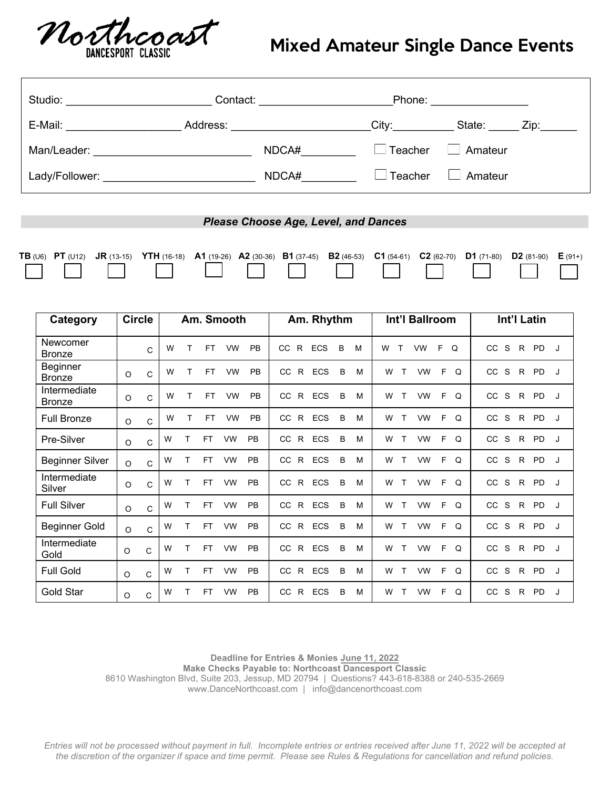

## Mixed Amateur Single Dance Events

|                                                                                                                                         |               | Studio: Notifical Contact: Notifical Contact: Note: Note: Note: Note: Note: Note: Note: Note: Note: Note: Note: Note: Note: Note: Note: Note: Note: Note: Note: Note: Note: Note: Note: Note: Note: Note: Note: Note: Note: No |                 |                               |                        |  |  |  |  |  |
|-----------------------------------------------------------------------------------------------------------------------------------------|---------------|--------------------------------------------------------------------------------------------------------------------------------------------------------------------------------------------------------------------------------|-----------------|-------------------------------|------------------------|--|--|--|--|--|
|                                                                                                                                         |               | E-Mail: City: City: City: City: City: City: City: City: City: City: City: City: City: City: City: City: City: City: City: City: City: City: City: City: City: City: City: City: City: City: City: City: City: City: City: City |                 |                               |                        |  |  |  |  |  |
|                                                                                                                                         |               |                                                                                                                                                                                                                                | NDCA#__________ | $\Box$ Teacher $\Box$ Amateur |                        |  |  |  |  |  |
|                                                                                                                                         |               |                                                                                                                                                                                                                                |                 |                               |                        |  |  |  |  |  |
|                                                                                                                                         |               |                                                                                                                                                                                                                                |                 |                               |                        |  |  |  |  |  |
| <b>Please Choose Age, Level, and Dances</b>                                                                                             |               |                                                                                                                                                                                                                                |                 |                               |                        |  |  |  |  |  |
| TB (U6) PT (U12) JR (13-15) YTH (16-18) A1 (19-26) A2 (30-36) B1 (37-45) B2 (46-53) C1 (54-61) C2 (62-70) D1 (71-80) D2 (81-90) E (91+) |               |                                                                                                                                                                                                                                |                 |                               |                        |  |  |  |  |  |
| Category                                                                                                                                | <b>Circle</b> | Am. Smooth                                                                                                                                                                                                                     | Am. Rhythm      | Int'l Ballroom                | Int'l Latin            |  |  |  |  |  |
| Newcomer<br><b>Bronze</b>                                                                                                               | $\mathbf{C}$  | W T FT VW PB CC R ECS B M                                                                                                                                                                                                      |                 |                               | W T VW F Q CC S R PD J |  |  |  |  |  |

| <b>Beginner</b><br><b>Bronze</b> | $\circ$  | C            | W |   | FT.       | <b>VW</b> | <b>PB</b> | CC.       | R  | <b>ECS</b> | B | м | W      | VW        | F<br>Q        | CC  | S | R  | <b>PD</b> |   |
|----------------------------------|----------|--------------|---|---|-----------|-----------|-----------|-----------|----|------------|---|---|--------|-----------|---------------|-----|---|----|-----------|---|
| Intermediate<br><b>Bronze</b>    | $\circ$  | $\mathsf{C}$ | W |   | FT        | <b>VW</b> | <b>PB</b> | <b>CC</b> | R  | <b>ECS</b> | B | M | W      | VW        | F<br>$\Omega$ | CC. | S | R. | <b>PD</b> |   |
| <b>Full Bronze</b>               | $\circ$  | $\mathsf{C}$ | W |   | FT.       | <b>VW</b> | <b>PB</b> | <b>CC</b> | R. | <b>ECS</b> | B | M | W<br>т | VW        | F<br>Q        | CC  | S | R. | <b>PD</b> | J |
| Pre-Silver                       | $\circ$  | C            | W |   | <b>FT</b> | <b>VW</b> | <b>PB</b> | <b>CC</b> | R  | <b>ECS</b> | B | M | W      | VW        | F<br>Q        | CC. | S | R  | <b>PD</b> | J |
| <b>Beginner Silver</b>           | $\Omega$ | $\mathsf{C}$ | W |   | FT        | <b>VW</b> | <b>PB</b> | <b>CC</b> | R  | <b>ECS</b> | B | M | W      | VW        | F<br>Q        | CC  | S | R. | <b>PD</b> | J |
| Intermediate<br>Silver           | $\circ$  | $\mathsf{C}$ | W | т | <b>FT</b> | <b>VW</b> | <b>PB</b> | <b>CC</b> | R. | <b>ECS</b> | B | M | W<br>т | <b>VW</b> | F<br>Q        | CC  | S | R  | <b>PD</b> | J |
| <b>Full Silver</b>               | $\circ$  | C            | W | т | <b>FT</b> | <b>VW</b> | PB        | <b>CC</b> | R  | <b>ECS</b> | B | M | W<br>т | VW        | F<br>$\Omega$ | CC  | S | R. | <b>PD</b> |   |
| <b>Beginner Gold</b>             | $\Omega$ | $\mathsf{C}$ | W |   | <b>FT</b> | <b>VW</b> | <b>PB</b> | CC.       | R  | <b>ECS</b> | B | M | W<br>т | <b>VW</b> | F<br>Q        | cc  | S | R. | <b>PD</b> | J |
| Intermediate<br>Gold             | $\circ$  | C            | W | т | <b>FT</b> | <b>VW</b> | <b>PB</b> | <b>CC</b> | R. | ECS        | B | M | W<br>т | <b>VW</b> | F<br>Q        | CC  | S | R. | <b>PD</b> |   |
| <b>Full Gold</b>                 | $\circ$  | $\mathsf{C}$ | W |   | <b>FT</b> | VW        | <b>PB</b> | CC.       | R  | <b>ECS</b> | B | M | W<br>т | VW        | F<br>Q        | CC. | S | R. | <b>PD</b> | J |
| Gold Star                        | O        | C            | W | т | FT        | <b>VW</b> | <b>PB</b> | <b>CC</b> | R. | ECS        | B | м | W<br>т | VW        | F<br>Q        | CC  | S | R  | <b>PD</b> |   |

**Deadline for Entries & Monies June 11, 2022 Make Checks Payable to: Northcoast Dancesport Classic** 8610 Washington Blvd, Suite 203, Jessup, MD 20794 | Questions? 443-618-8388 or 240-535-2669 www.DanceNorthcoast.com | [info@dancenorthcoast.com](mailto:info@dancenorthcoast.com)

*Entries will not be processed without payment in full. Incomplete entries or entries received after June 11, 2022 will be accepted at the discretion of the organizer if space and time permit. Please see Rules & Regulations for cancellation and refund policies.*